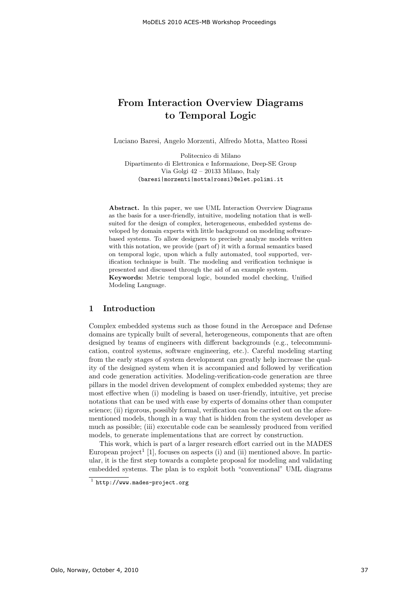# **From Interaction Overview Diagrams to Temporal Logic**

Luciano Baresi, Angelo Morzenti, Alfredo Motta, Matteo Rossi

Politecnico di Milano Dipartimento di Elettronica e Informazione, Deep-SE Group Via Golgi 42 – 20133 Milano, Italy (baresi|morzenti|motta|rossi)@elet.polimi.it

**Abstract.** In this paper, we use UML Interaction Overview Diagrams as the basis for a user-friendly, intuitive, modeling notation that is wellsuited for the design of complex, heterogeneous, embedded systems developed by domain experts with little background on modeling softwarebased systems. To allow designers to precisely analyze models written with this notation, we provide (part of) it with a formal semantics based on temporal logic, upon which a fully automated, tool supported, verification technique is built. The modeling and verification technique is presented and discussed through the aid of an example system. **Keywords:** Metric temporal logic, bounded model checking, Unified Modeling Language.

## **1 Introduction**

Complex embedded systems such as those found in the Aerospace and Defense domains are typically built of several, heterogeneous, components that are often designed by teams of engineers with different backgrounds (e.g., telecommunication, control systems, software engineering, etc.). Careful modeling starting from the early stages of system development can greatly help increase the quality of the designed system when it is accompanied and followed by verification and code generation activities. Modeling-verification-code generation are three pillars in the model driven development of complex embedded systems; they are most effective when (i) modeling is based on user-friendly, intuitive, yet precise notations that can be used with ease by experts of domains other than computer science; (ii) rigorous, possibly formal, verification can be carried out on the aforementioned models, though in a way that is hidden from the system developer as much as possible; (iii) executable code can be seamlessly produced from verified models, to generate implementations that are correct by construction.

This work, which is part of a larger research effort carried out in the MADES European project<sup>1</sup> [1], focuses on aspects (i) and (ii) mentioned above. In particular, it is the first step towards a complete proposal for modeling and validating embedded systems. The plan is to exploit both "conventional" UML diagrams

 $1$  http://www.mades-project.org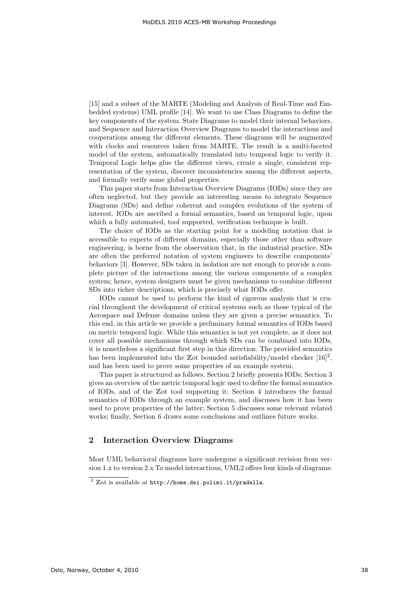[15] and a subset of the MARTE (Modeling and Analysis of Real-Time and Embedded systems) UML profile [14]. We want to use Class Diagrams to define the key components of the system. State Diagrams to model their internal behaviors, and Sequence and Interaction Overview Diagrams to model the interactions and cooperations among the different elements. These diagrams will be augmented with clocks and resources taken from MARTE. The result is a multi-faceted model of the system, automatically translated into temporal logic to verify it. Temporal Logic helps glue the different views, create a single, consistent representation of the system, discover inconsistencies among the different aspects, and formally verify some global properties.

This paper starts from Interaction Overview Diagrams (IODs) since they are often neglected, but they provide an interesting means to integrate Sequence Diagrams (SDs) and define coherent and complex evolutions of the system of interest. IODs are ascribed a formal semantics, based on temporal logic, upon which a fully automated, tool supported, verification technique is built.

The choice of IODs as the starting point for a modeling notation that is accessible to experts of different domains, especially those other than software engineering, is borne from the observation that, in the industrial practice, SDs are often the preferred notation of system engineers to describe components' behaviors [3]. However, SDs taken in isolation are not enough to provide a complete picture of the interactions among the various components of a complex system; hence, system designers must be given mechanisms to combine different SDs into richer descriptions, which is precisely what IODs offer.

IODs cannot be used to perform the kind of rigorous analysis that is crucial throughout the development of critical systems such as those typical of the Aerospace and Defense domains unless they are given a precise semantics. To this end, in this article we provide a preliminary formal semantics of IODs based on metric temporal logic. While this semantics is not yet complete, as it does not cover all possible mechanisms through which SDs can be combined into IODs, it is nonetheless a significant first step in this direction. The provided semantics has been implemented into the Zot bounded satisfiability/model checker  $[16]^{2}$ , and has been used to prove some properties of an example system.

This paper is structured as follows. Section 2 briefly presents IODs; Section 3 gives an overview of the metric temporal logic used to define the formal semantics of IODs, and of the Zot tool supporting it; Section 4 introduces the formal semantics of IODs through an example system, and discusses how it has been used to prove properties of the latter; Section 5 discusses some relevant related works; finally, Section 6 draws some conclusions and outlines future works.

## **2 Interaction Overview Diagrams**

Most UML behavioral diagrams have undergone a significant revision from version 1.x to version 2.x To model interactions, UML2 offers four kinds of diagrams:

 $\sqrt{\frac{2}{\pi}}$  Zot is available at http://home.dei.polimi.it/pradella.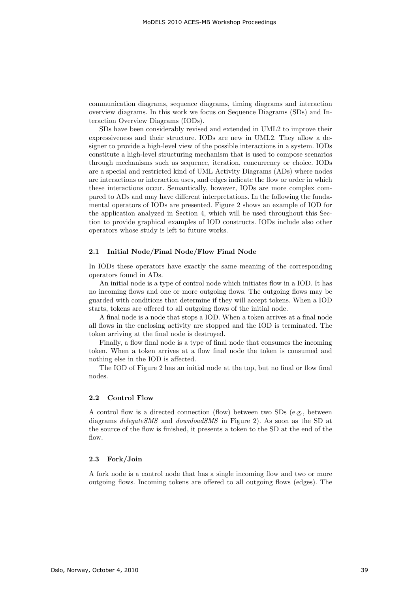communication diagrams, sequence diagrams, timing diagrams and interaction overview diagrams. In this work we focus on Sequence Diagrams (SDs) and Interaction Overview Diagrams (IODs).

SDs have been considerably revised and extended in UML2 to improve their expressiveness and their structure. IODs are new in UML2. They allow a designer to provide a high-level view of the possible interactions in a system. IODs constitute a high-level structuring mechanism that is used to compose scenarios through mechanisms such as sequence, iteration, concurrency or choice. IODs are a special and restricted kind of UML Activity Diagrams (ADs) where nodes are interactions or interaction uses, and edges indicate the flow or order in which these interactions occur. Semantically, however, IODs are more complex compared to ADs and may have different interpretations. In the following the fundamental operators of IODs are presented. Figure 2 shows an example of IOD for the application analyzed in Section 4, which will be used throughout this Section to provide graphical examples of IOD constructs. IODs include also other operators whose study is left to future works.

#### **2.1 Initial Node/Final Node/Flow Final Node**

In IODs these operators have exactly the same meaning of the corresponding operators found in ADs.

An initial node is a type of control node which initiates flow in a IOD. It has no incoming flows and one or more outgoing flows. The outgoing flows may be guarded with conditions that determine if they will accept tokens. When a IOD starts, tokens are offered to all outgoing flows of the initial node.

A final node is a node that stops a IOD. When a token arrives at a final node all flows in the enclosing activity are stopped and the IOD is terminated. The token arriving at the final node is destroyed.

Finally, a flow final node is a type of final node that consumes the incoming token. When a token arrives at a flow final node the token is consumed and nothing else in the IOD is affected.

The IOD of Figure 2 has an initial node at the top, but no final or flow final nodes.

#### **2.2 Control Flow**

A control flow is a directed connection (flow) between two SDs (e.g., between diagrams delegateSMS and downloadSMS in Figure 2). As soon as the SD at the source of the flow is finished, it presents a token to the SD at the end of the  $f_{\text{OW}}$ 

## **2.3 Fork/Join**

A fork node is a control node that has a single incoming flow and two or more outgoing flows. Incoming tokens are offered to all outgoing flows (edges). The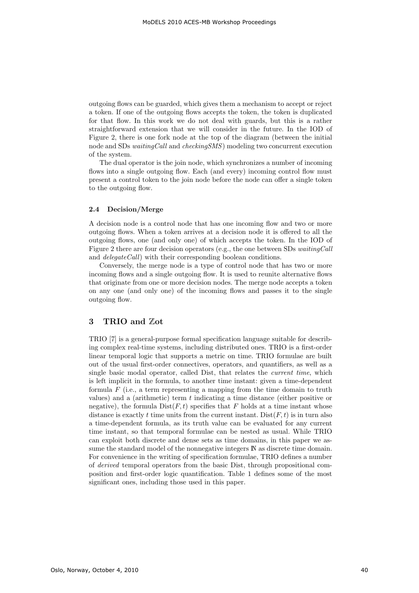outgoing flows can be guarded, which gives them a mechanism to accept or reject a token. If one of the outgoing flows accepts the token, the token is duplicated for that flow. In this work we do not deal with guards, but this is a rather straightforward extension that we will consider in the future. In the IOD of Figure 2, there is one fork node at the top of the diagram (between the initial node and SDs waitingCall and checkingSMS) modeling two concurrent execution of the system.

The dual operator is the join node, which synchronizes a number of incoming flows into a single outgoing flow. Each (and every) incoming control flow must present a control token to the join node before the node can offer a single token to the outgoing flow.

#### **2.4 Decision/Merge**

A decision node is a control node that has one incoming flow and two or more outgoing flows. When a token arrives at a decision node it is offered to all the outgoing flows, one (and only one) of which accepts the token. In the IOD of Figure 2 there are four decision operators (e.g., the one between SDs *waitingCall* and *delegateCall*) with their corresponding boolean conditions.

Conversely, the merge node is a type of control node that has two or more incoming flows and a single outgoing flow. It is used to reunite alternative flows that originate from one or more decision nodes. The merge node accepts a token on any one (and only one) of the incoming flows and passes it to the single outgoing flow.

# **3 TRIO and** Z**ot**

TRIO [7] is a general-purpose formal specification language suitable for describing complex real-time systems, including distributed ones. TRIO is a first-order linear temporal logic that supports a metric on time. TRIO formulae are built out of the usual first-order connectives, operators, and quantifiers, as well as a single basic modal operator, called Dist, that relates the current time, which is left implicit in the formula, to another time instant: given a time-dependent formula  $F$  (i.e., a term representing a mapping from the time domain to truth values) and a (arithmetic) term  $t$  indicating a time distance (either positive or negative), the formula  $Dist(F, t)$  specifies that F holds at a time instant whose distance is exactly t time units from the current instant.  $Dist(F, t)$  is in turn also a time-dependent formula, as its truth value can be evaluated for any current time instant, so that temporal formulae can be nested as usual. While TRIO can exploit both discrete and dense sets as time domains, in this paper we assume the standard model of the nonnegative integers N as discrete time domain. For convenience in the writing of specification formulae, TRIO defines a number of derived temporal operators from the basic Dist, through propositional composition and first-order logic quantification. Table 1 defines some of the most significant ones, including those used in this paper.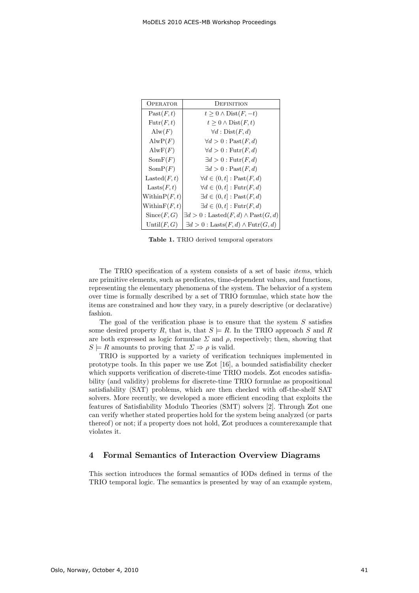| OPERATOR               | DEFINITION                                                     |
|------------------------|----------------------------------------------------------------|
| $\text{Fast}(F, t)$    | $t > 0 \wedge Dist(F, -t)$                                     |
| $\text{Futr}(F, t)$    | $t > 0 \wedge \text{Dist}(F, t)$                               |
| $\text{Alw}(F)$        | $\forall d : Dist(F, d)$                                       |
| $\text{AlwP}(F)$       | $\forall d > 0 :$ Past $(F, d)$                                |
| $\text{AlwF}(F)$       | $\forall d > 0 : \text{Futr}(F, d)$                            |
| SomF(F)                | $\exists d > 0 : \text{Futr}(F, d)$                            |
| SomP(F)                | $\exists d > 0 :$ Past $(F, d)$                                |
| Lasted(F, t)           | $\forall d \in (0, t] : \text{Fast}(F, d)$                     |
| $\text{Lasts}(F, t)$   | $\forall d \in (0, t] : \text{Futr}(F, d)$                     |
| Within $P(F,t)$        | $\exists d \in (0, t] : \text{Fast}(F, d)$                     |
| $\text{WithinF}(F, t)$ | $\exists d \in (0, t] : \text{Futr}(F, d)$                     |
| Since (F, G)           | $\exists d > 0 : \text{Lasted}(F, d) \wedge \text{Fast}(G, d)$ |
| Until $(F, G)$         | $\exists d > 0 : \text{Lasts}(F, d) \wedge \text{Futr}(G, d)$  |

**Table 1.** TRIO derived temporal operators

The TRIO specification of a system consists of a set of basic items, which are primitive elements, such as predicates, time-dependent values, and functions, representing the elementary phenomena of the system. The behavior of a system over time is formally described by a set of TRIO formulae, which state how the items are constrained and how they vary, in a purely descriptive (or declarative) fashion.

The goal of the verification phase is to ensure that the system  $S$  satisfies some desired property R, that is, that  $S \models R$ . In the TRIO approach S and R are both expressed as logic formulae  $\Sigma$  and  $\rho$ , respectively; then, showing that  $S \models R$  amounts to proving that  $\Sigma \Rightarrow \rho$  is valid.

TRIO is supported by a variety of verification techniques implemented in prototype tools. In this paper we use Zot [16], a bounded satisfiability checker which supports verification of discrete-time TRIO models. Zot encodes satisfiability (and validity) problems for discrete-time TRIO formulae as propositional satisfiability (SAT) problems, which are then checked with off-the-shelf SAT solvers. More recently, we developed a more efficient encoding that exploits the features of Satisfiability Modulo Theories (SMT) solvers [2]. Through Zot one can verify whether stated properties hold for the system being analyzed (or parts thereof) or not; if a property does not hold, Zot produces a counterexample that violates it.

## **4 Formal Semantics of Interaction Overview Diagrams**

This section introduces the formal semantics of IODs defined in terms of the TRIO temporal logic. The semantics is presented by way of an example system,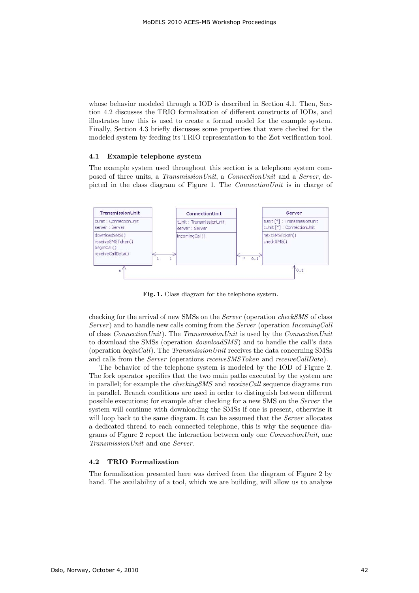whose behavior modeled through a IOD is described in Section 4.1. Then, Section 4.2 discusses the TRIO formalization of different constructs of IODs, and illustrates how this is used to create a formal model for the example system. Finally, Section 4.3 briefly discusses some properties that were checked for the modeled system by feeding its TRIO representation to the Zot verification tool.

#### **4.1 Example telephone system**

The example system used throughout this section is a telephone system composed of three units, a TransmissionUnit, a ConnectionUnit and a Server, depicted in the class diagram of Figure 1. The ConnectionUnit is in charge of



**Fig. 1.** Class diagram for the telephone system.

checking for the arrival of new SMSs on the Server (operation checkSMS of class Server) and to handle new calls coming from the Server (operation IncomingCall of class ConnectionUnit). The TransmissionUnit is used by the ConnectionUnit to download the SMSs (operation downloadSMS) and to handle the call's data (operation  $beginCall$ ). The TransmissionUnit receives the data concerning SMSs and calls from the *Server* (operations *receiveSMSToken* and *receiveCallData*).

The behavior of the telephone system is modeled by the IOD of Figure 2. The fork operator specifies that the two main paths executed by the system are in parallel; for example the checkingSMS and receiveCall sequence diagrams run in parallel. Branch conditions are used in order to distinguish between different possible executions; for example after checking for a new SMS on the Server the system will continue with downloading the SMSs if one is present, otherwise it will loop back to the same diagram. It can be assumed that the *Server* allocates a dedicated thread to each connected telephone, this is why the sequence diagrams of Figure 2 report the interaction between only one ConnectionUnit, one TransmissionUnit and one Server.

#### **4.2 TRIO Formalization**

The formalization presented here was derived from the diagram of Figure 2 by hand. The availability of a tool, which we are building, will allow us to analyze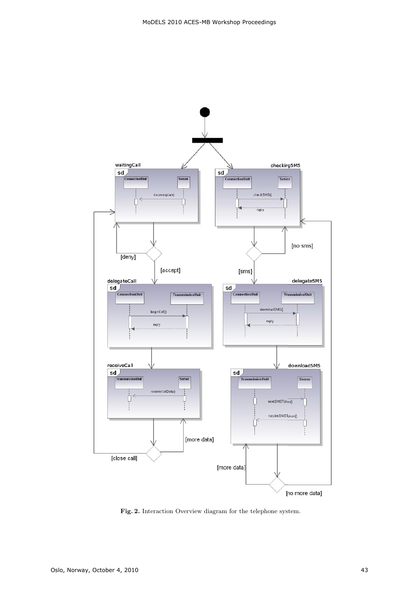

**Fig. 2.** Interaction Overview diagram for the telephone system.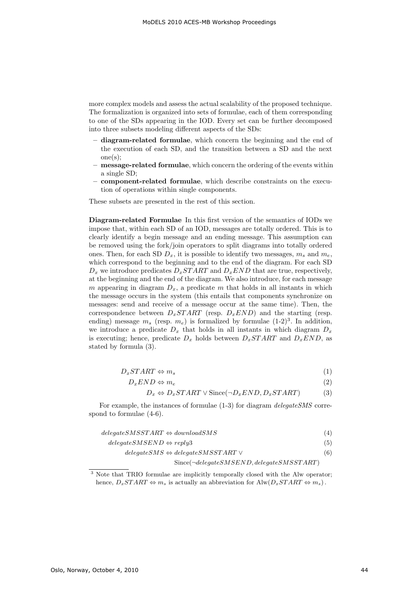more complex models and assess the actual scalability of the proposed technique. The formalization is organized into sets of formulae, each of them corresponding to one of the SDs appearing in the IOD. Every set can be further decomposed into three subsets modeling different aspects of the SDs:

- **diagram-related formulae**, which concern the beginning and the end of the execution of each SD, and the transition between a SD and the next one(s);
- **message-related formulae**, which concern the ordering of the events within a single SD;
- **component-related formulae**, which describe constraints on the execution of operations within single components.

These subsets are presented in the rest of this section.

**Diagram-related Formulae** In this first version of the semantics of IODs we impose that, within each SD of an IOD, messages are totally ordered. This is to clearly identify a begin message and an ending message. This assumption can be removed using the fork/join operators to split diagrams into totally ordered ones. Then, for each SD  $D_x$ , it is possible to identify two messages,  $m_s$  and  $m_e$ , which correspond to the beginning and to the end of the diagram. For each SD  $D_x$  we introduce predicates  $D_xSTART$  and  $D_xEND$  that are true, respectively, at the beginning and the end of the diagram. We also introduce, for each message m appearing in diagram  $D_x$ , a predicate m that holds in all instants in which the message occurs in the system (this entails that components synchronize on messages: send and receive of a message occur at the same time). Then, the correspondence between  $D_xSTART$  (resp.  $D_xEND$ ) and the starting (resp. ending) message  $m_s$  (resp.  $m_e$ ) is formalized by formulae  $(1-2)^3$ . In addition, we introduce a predicate  $D_x$  that holds in all instants in which diagram  $D_x$ is executing; hence, predicate  $D_x$  holds between  $D_xSTART$  and  $D_xEND$ , as stated by formula (3).

$$
D_xSTART \Leftrightarrow m_s \tag{1}
$$

$$
D_xEND \Leftrightarrow m_e \tag{2}
$$

$$
D_x \Leftrightarrow D_x START \vee \text{Since}(\neg D_x END, D_xSTART) \tag{3}
$$

For example, the instances of formulae  $(1-3)$  for diagram *delegateSMS* correspond to formulae (4-6).

| $deleqatesMSSTART \Leftrightarrow downloadSMS$ |  |
|------------------------------------------------|--|
| $deleqatesMSEND \Leftrightarrow reply3$        |  |

$$
deleate SMS \Leftrightarrow deleaate SMSSTART \lor \tag{6}
$$

Since(¬delegateSMSEND, delegateSMSST ART)

<sup>&</sup>lt;sup>3</sup> Note that TRIO formulae are implicitly temporally closed with the Alw operator; hence,  $D_xSTART \Leftrightarrow m_s$  is actually an abbreviation for  $\text{Alw}(D_xSTART \Leftrightarrow m_s)$ .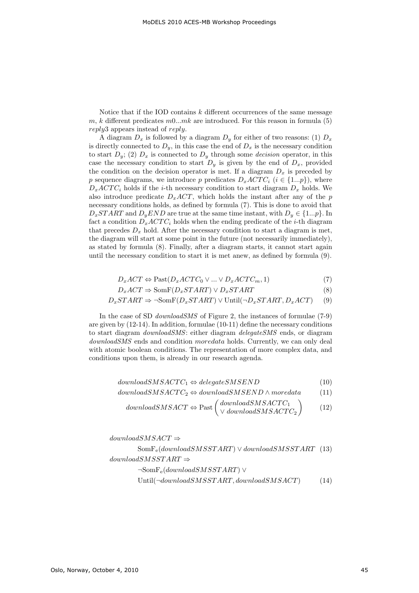Notice that if the IOD contains  $k$  different occurrences of the same message m, k different predicates  $m$ 0...mk are introduced. For this reason in formula (5) reply3 appears instead of reply.

A diagram  $D_x$  is followed by a diagram  $D_y$  for either of two reasons: (1)  $D_x$ is directly connected to  $D_y$ , in this case the end of  $D_x$  is the necessary condition to start  $D_y$ ; (2)  $D_x$  is connected to  $D_y$  through some *decision* operator, in this case the necessary condition to start  $D<sub>y</sub>$  is given by the end of  $D<sub>x</sub>$ , provided the condition on the decision operator is met. If a diagram  $D_x$  is preceded by p sequence diagrams, we introduce p predicates  $D_x ACTC_i$   $(i \in \{1...p\})$ , where  $D_x ACTC_i$  holds if the *i*-th necessary condition to start diagram  $D_x$  holds. We also introduce predicate  $D_x ACT$ , which holds the instant after any of the p necessary conditions holds, as defined by formula (7). This is done to avoid that  $D_xSTART$  and  $D_yEND$  are true at the same time instant, with  $D_y \in \{1...p\}$ . In fact a condition  $D_x ACTC_i$  holds when the ending predicate of the *i*-th diagram that precedes  $D_x$  hold. After the necessary condition to start a diagram is met, the diagram will start at some point in the future (not necessarily immediately), as stated by formula (8). Finally, after a diagram starts, it cannot start again until the necessary condition to start it is met anew, as defined by formula (9).

$$
D_x ACT \Leftrightarrow \text{Fast}(D_x ACTC_0 \vee \dots \vee D_x ACTC_m, 1) \tag{7}
$$

$$
D_x ACT \Rightarrow \text{SomF}(D_x START) \lor D_x START \tag{8}
$$

$$
D_x START \Rightarrow \neg \text{SomF}(D_x START) \lor \text{Until}(\neg D_x START, D_x ACT) \tag{9}
$$

In the case of SD downloadSMS of Figure 2, the instances of formulae (7-9) are given by (12-14). In addition, formulae (10-11) define the necessary conditions to start diagram downloadSMS: either diagram delegateSMS ends, or diagram downloadSMS ends and condition moredata holds. Currently, we can only deal with atomic boolean conditions. The representation of more complex data, and conditions upon them, is already in our research agenda.

$$
downloadSMSACTC1 \Leftrightarrow delegateSMSEND \tag{10}
$$

 $downloadSMSACT C_2 \Leftrightarrow downloadSMSEND \wedge more data$  (11)

$$
downloadSMSACT \Leftrightarrow \text{Fast}\left(\frac{downloadSMSACTC_1}{\lor downloadSMSACTC_2}\right) \tag{12}
$$

 $downloadSMSACT \Rightarrow$ 

 $SomF_e(downloadSMSSTART)$  ∨ downloadSMSST ART (13)  $downloadSMSSTART \Rightarrow$  $\neg$ SomF<sub>e</sub>(downloadSMSSTART) ∨

Until $(\neg downloadSMSSTART, downloadSMSACT)$  (14)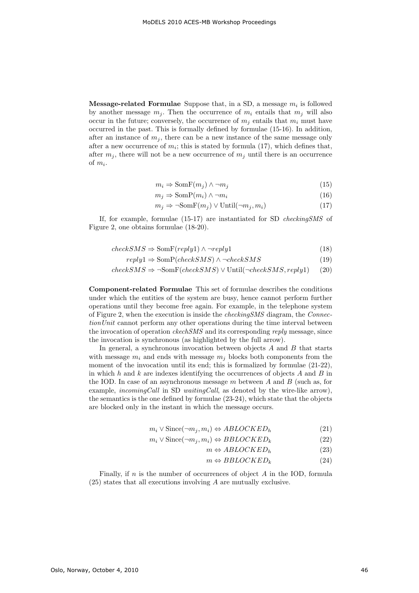**Message-related Formulae** Suppose that, in a SD, a message  $m_i$  is followed by another message  $m_i$ . Then the occurrence of  $m_i$  entails that  $m_i$  will also occur in the future; conversely, the occurrence of  $m_i$  entails that  $m_i$  must have occurred in the past. This is formally defined by formulae (15-16). In addition, after an instance of  $m_i$ , there can be a new instance of the same message only after a new occurrence of  $m_i$ ; this is stated by formula (17), which defines that, after  $m_i$ , there will not be a new occurrence of  $m_i$  until there is an occurrence of  $m_i$ .

$$
m_i \Rightarrow \text{SomF}(m_j) \land \neg m_j \tag{15}
$$

$$
m_j \Rightarrow \text{SomP}(m_i) \land \neg m_i \tag{16}
$$

$$
m_j \Rightarrow \neg \text{SomF}(m_j) \lor \text{Until}(\neg m_j, m_i)
$$
\n
$$
(17)
$$

If, for example, formulae (15-17) are instantiated for SD checkingSMS of Figure 2, one obtains formulae (18-20).

$$
check SMS \Rightarrow \text{SomF}(reply1) \land \neg reply1
$$
\n
$$
(18)
$$

$$
reply1 \Rightarrow \text{SomP}(checkSMS) \land \neg checkSMS \tag{19}
$$

$$
check SMS \Rightarrow \neg Some(check SMS) \lor Until(\neg check SMS, reply1) \qquad (20)
$$

**Component-related Formulae** This set of formulae describes the conditions under which the entities of the system are busy, hence cannot perform further operations until they become free again. For example, in the telephone system of Figure 2, when the execution is inside the checkingSMS diagram, the ConnectionUnit cannot perform any other operations during the time interval between the invocation of operation *ckechSMS* and its corresponding *reply* message, since the invocation is synchronous (as highlighted by the full arrow).

In general, a synchronous invocation between objects  $A$  and  $B$  that starts with message  $m_i$  and ends with message  $m_j$  blocks both components from the moment of the invocation until its end; this is formalized by formulae  $(21-22)$ , in which  $h$  and  $k$  are indexes identifying the occurrences of objects  $A$  and  $B$  in the IOD. In case of an asynchronous message  $m$  between  $A$  and  $B$  (such as, for example, incomingCall in SD waitingCall, as denoted by the wire-like arrow), the semantics is the one defined by formulae (23-24), which state that the objects are blocked only in the instant in which the message occurs.

$$
m_i \vee \text{Since}(\neg m_j, m_i) \Leftrightarrow ABLOCKED_h \tag{21}
$$

$$
m_i \vee \text{Since}(\neg m_j, m_i) \Leftrightarrow BBIOCKED_k \tag{22}
$$

$$
m \Leftrightarrow ABLOCKED_h \tag{23}
$$

$$
m \Leftrightarrow BBCOCKED_k \tag{24}
$$

Finally, if  $n$  is the number of occurrences of object  $A$  in the IOD, formula  $(25)$  states that all executions involving A are mutually exclusive.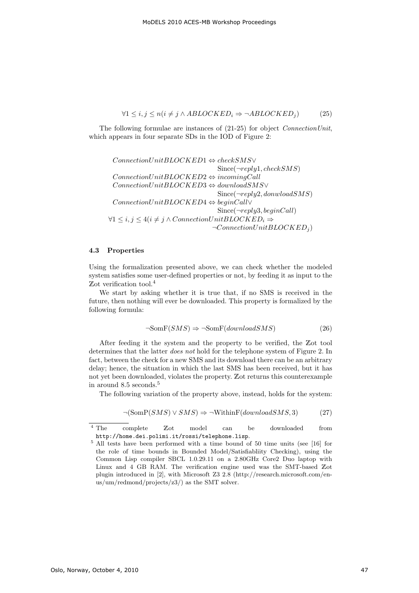$$
\forall 1 \le i, j \le n (i \ne j \land ABLOCKED_i \Rightarrow \neg ABLOCKED_j)
$$
 (25)

The following formulae are instances of  $(21-25)$  for object *ConnectionUnit*, which appears in four separate SDs in the IOD of Figure 2:

 $ConnectionUnitBLOCALED1 \Leftrightarrow checkSMS \vee$  $Since(\neg reply1, checkSMS)$  $ConnectionUnitBLOCALED2 \Leftrightarrow incomingCall$ ConnectionUnitBLOCKED3 ⇔ downloadSMS∨  $Since(\neg reply2, donwloadSMS)$ ConnectionUnitBLOCKED4 ⇔ beginCall∨  $Since(\neg reply3, beginCall)$  $\forall 1 \leq i, j \leq 4 (i \neq j \wedge ConnectionUnitBLOCALED_i \Rightarrow$  $\neg ConnectionUnitBLOCALED_i$ 

#### **4.3 Properties**

Using the formalization presented above, we can check whether the modeled system satisfies some user-defined properties or not, by feeding it as input to the Zot verification tool.<sup>4</sup>

We start by asking whether it is true that, if no SMS is received in the future, then nothing will ever be downloaded. This property is formalized by the following formula:

$$
\neg \text{SomF}(SMS) \Rightarrow \neg \text{SomF}(download SMS) \tag{26}
$$

After feeding it the system and the property to be verified, the Zot tool determines that the latter *does not* hold for the telephone system of Figure 2. In fact, between the check for a new SMS and its download there can be an arbitrary delay; hence, the situation in which the last SMS has been received, but it has not yet been downloaded, violates the property. Zot returns this counterexample in around 8.5 seconds.<sup>5</sup>

The following variation of the property above, instead, holds for the system:

$$
\neg(\text{SomP}(SMS) \lor SMS) \Rightarrow \neg \text{WithinF}(download SMS, 3) \tag{27}
$$

<sup>5</sup> All tests have been performed with a time bound of 50 time units (see [16] for the role of time bounds in Bounded Model/Satisfiabliity Checking), using the Common Lisp compiler SBCL 1.0.29.11 on a 2.80GHz Core2 Duo laptop with Linux and 4 GB RAM. The verification engine used was the SMT-based Zot plugin introduced in [2], with Microsoft Z3 2.8 (http://research.microsoft.com/enus/um/redmond/projects/z3/) as the SMT solver.

<sup>&</sup>lt;sup>4</sup> The complete Zot model can be downloaded from http://home.dei.polimi.it/rossi/telephone.lisp.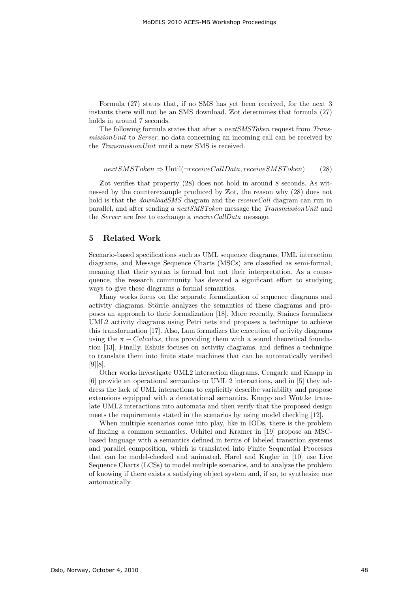Formula (27) states that, if no SMS has yet been received, for the next 3 instants there will not be an SMS download. Zot determines that formula (27) holds in around 7 seconds.

The following formula states that after a nextSMSToken request from TransmissionUnit to Server, no data concerning an incoming call can be received by the *Transmission Unit* until a new SMS is received.

$$
nextSMSToken \Rightarrow Until(\neg receiveCallData, receiveSMSToken) \qquad (28)
$$

Zot verifies that property (28) does not hold in around 8 seconds. As witnessed by the counterexample produced by Zot, the reason why (28) does not hold is that the *downloadSMS* diagram and the *receiveCall* diagram can run in parallel, and after sending a nextSMSToken message the TransmissionUnit and the Server are free to exchange a receiveCallData message.

## **5 Related Work**

Scenario-based specifications such as UML sequence diagrams, UML interaction diagrams, and Message Sequence Charts (MSCs) are classified as semi-formal, meaning that their syntax is formal but not their interpretation. As a consequence, the research community has devoted a significant effort to studying ways to give these diagrams a formal semantics.

Many works focus on the separate formalization of sequence diagrams and activity diagrams. Störrle analyzes the semantics of these diagrams and proposes an approach to their formalization [18]. More recently, Staines formalizes UML2 activity diagrams using Petri nets and proposes a technique to achieve this transformation [17]. Also, Lam formalizes the execution of activity diagrams using the  $\pi - Calculus$ , thus providing them with a sound theoretical foundation [13]. Finally, Eshuis focuses on activity diagrams, and defines a technique to translate them into finite state machines that can be automatically verified [9][8].

Other works investigate UML2 interaction diagrams. Cengarle and Knapp in [6] provide an operational semantics to UML 2 interactions, and in [5] they address the lack of UML interactions to explicitly describe variability and propose extensions equipped with a denotational semantics. Knapp and Wuttke translate UML2 interactions into automata and then verify that the proposed design meets the requirements stated in the scenarios by using model checking [12].

When multiple scenarios come into play, like in IODs, there is the problem of finding a common semantics. Uchitel and Kramer in [19] propose an MSCbased language with a semantics defined in terms of labeled transition systems and parallel composition, which is translated into Finite Sequential Processes that can be model-checked and animated. Harel and Kugler in [10] use Live Sequence Charts (LCSs) to model multiple scenarios, and to analyze the problem of knowing if there exists a satisfying object system and, if so, to synthesize one automatically.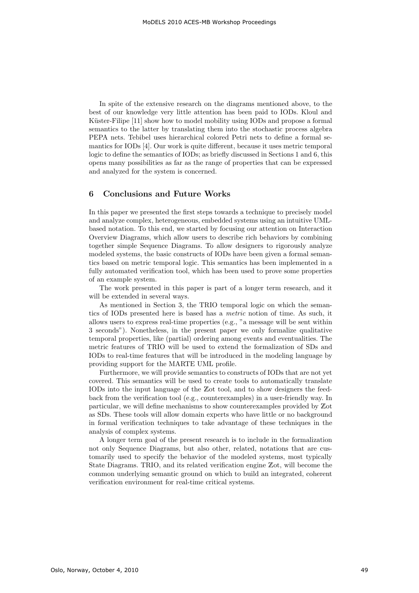In spite of the extensive research on the diagrams mentioned above, to the best of our knowledge very little attention has been paid to IODs. Kloul and Küster-Filipe [11] show how to model mobility using IODs and propose a formal semantics to the latter by translating them into the stochastic process algebra PEPA nets. Tebibel uses hierarchical colored Petri nets to define a formal semantics for IODs [4]. Our work is quite different, because it uses metric temporal logic to define the semantics of IODs; as briefly discussed in Sections 1 and 6, this opens many possibilities as far as the range of properties that can be expressed and analyzed for the system is concerned.

## **6 Conclusions and Future Works**

In this paper we presented the first steps towards a technique to precisely model and analyze complex, heterogeneous, embedded systems using an intuitive UMLbased notation. To this end, we started by focusing our attention on Interaction Overview Diagrams, which allow users to describe rich behaviors by combining together simple Sequence Diagrams. To allow designers to rigorously analyze modeled systems, the basic constructs of IODs have been given a formal semantics based on metric temporal logic. This semantics has been implemented in a fully automated verification tool, which has been used to prove some properties of an example system.

The work presented in this paper is part of a longer term research, and it will be extended in several ways.

As mentioned in Section 3, the TRIO temporal logic on which the semantics of IODs presented here is based has a metric notion of time. As such, it allows users to express real-time properties  $(e.g., 'a$  message will be sent within 3 seconds"). Nonetheless, in the present paper we only formalize qualitative temporal properties, like (partial) ordering among events and eventualities. The metric features of TRIO will be used to extend the formalization of SDs and IODs to real-time features that will be introduced in the modeling language by providing support for the MARTE UML profile.

Furthermore, we will provide semantics to constructs of IODs that are not yet covered. This semantics will be used to create tools to automatically translate IODs into the input language of the Zot tool, and to show designers the feedback from the verification tool (e.g., counterexamples) in a user-friendly way. In particular, we will define mechanisms to show counterexamples provided by Zot as SDs. These tools will allow domain experts who have little or no background in formal verification techniques to take advantage of these techniques in the analysis of complex systems.

A longer term goal of the present research is to include in the formalization not only Sequence Diagrams, but also other, related, notations that are customarily used to specify the behavior of the modeled systems, most typically State Diagrams. TRIO, and its related verification engine Zot, will become the common underlying semantic ground on which to build an integrated, coherent verification environment for real-time critical systems.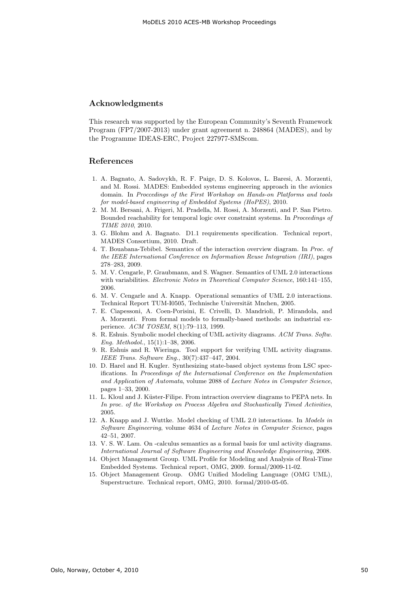# **Acknowledgments**

This research was supported by the European Community's Seventh Framework Program (FP7/2007-2013) under grant agreement n. 248864 (MADES), and by the Programme IDEAS-ERC, Project 227977-SMScom.

## **References**

- 1. A. Bagnato, A. Sadovykh, R. F. Paige, D. S. Kolovos, L. Baresi, A. Morzenti, and M. Rossi. MADES: Embedded systems engineering approach in the avionics domain. In Proccedings of the First Workshop on Hands-on Platforms and tools for model-based engineering of Embedded Systems (HoPES), 2010.
- 2. M. M. Bersani, A. Frigeri, M. Pradella, M. Rossi, A. Morzenti, and P. San Pietro. Bounded reachability for temporal logic over constraint systems. In Proceedings of TIME 2010, 2010.
- 3. G. Blohm and A. Bagnato. D1.1 requirements specification. Technical report, MADES Consortium, 2010. Draft.
- 4. T. Bouabana-Tebibel. Semantics of the interaction overview diagram. In Proc. of the IEEE International Conference on Information Reuse Integration (IRI), pages 278–283, 2009.
- 5. M. V. Cengarle, P. Graubmann, and S. Wagner. Semantics of UML 2.0 interactions with variabilities. *Electronic Notes in Theoretical Computer Science*, 160:141-155, 2006.
- 6. M. V. Cengarle and A. Knapp. Operational semantics of UML 2.0 interactions. Technical Report TUM-I0505, Technische Universität Mnchen, 2005.
- 7. E. Ciapessoni, A. Coen-Porisini, E. Crivelli, D. Mandrioli, P. Mirandola, and A. Morzenti. From formal models to formally-based methods: an industrial experience. ACM TOSEM, 8(1):79–113, 1999.
- 8. R. Eshuis. Symbolic model checking of UML activity diagrams. ACM Trans. Softw. Eng. Methodol., 15(1):1–38, 2006.
- 9. R. Eshuis and R. Wieringa. Tool support for verifying UML activity diagrams. IEEE Trans. Software Eng., 30(7):437–447, 2004.
- 10. D. Harel and H. Kugler. Synthesizing state-based object systems from LSC specifications. In Proceedings of the International Conference on the Implementation and Application of Automata, volume 2088 of Lecture Notes in Computer Science, pages 1–33, 2000.
- 11. L. Kloul and J. Küster-Filipe. From intraction overview diagrams to PEPA nets. In In proc. of the Workshop on Process Algebra and Stochastically Timed Activities, 2005.
- 12. A. Knapp and J. Wuttke. Model checking of UML 2.0 interactions. In Models in Software Engineering, volume 4634 of Lecture Notes in Computer Science, pages 42–51, 2007.
- 13. V. S. W. Lam. On -calculus semantics as a formal basis for uml activity diagrams. International Journal of Software Engineering and Knowledge Engineering, 2008.
- 14. Object Management Group. UML Profile for Modeling and Analysis of Real-Time Embedded Systems. Technical report, OMG, 2009. formal/2009-11-02.
- 15. Object Management Group. OMG Unified Modeling Language (OMG UML), Superstructure. Technical report, OMG, 2010. formal/2010-05-05.